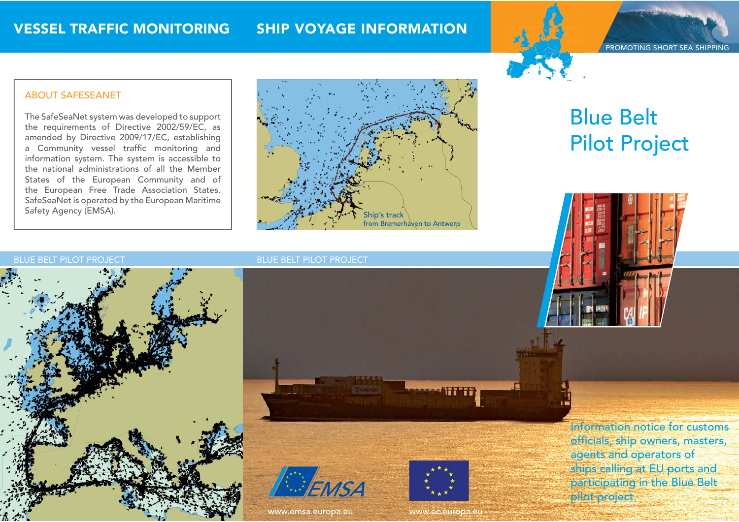## **SHIP VOYAGE INFORMATION**

PROMOTING SHORT SEA SHIPPING

### **ABOUT SAFESEANET**

The SafeSeaNet system was developed to support the requirements of Directive 2002/59/EC, as amended by Directive 2009/17/EC, establishing a Community vessel traffic monitoring and information system. The system is accessible to the national administrations of all the Member States of the European Community and of the European Free Trade Association States. SafeSeaNet is operated by the European Maritime Safety Agency (EMSA).



# **Blue Belt Pilot Project**

#### **BLUE BELT PILOT PROJECT**







www.emsa.europa.eu



**MARGARET HETT** 

www.ec.europa.eu

Information notice for customs officials, ship owners, masters, agents and operators of ships calling at EU ports and participating in the Blue Belt pilot project.